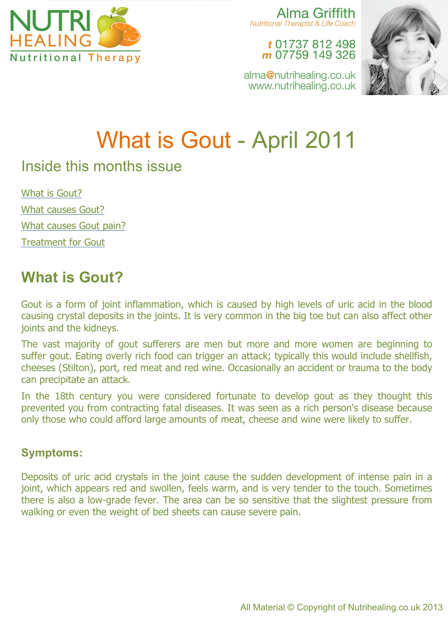

Alma Griffith **Nutritional Therapist & Life Coach** 

> t 01737 812 498 m 07759 149 326



alma@nutrihealing.co.uk www.nutrihealing.co.uk

# What is Gout - April 2011

## Inside this months issue

What is Gout? What causes Gout? What causes Gout pain? Treatment for Gout

# **What is Gout?**

Gout is a form of joint inflammation, which is caused by high levels of uric acid in the blood causing crystal deposits in the joints. It is very common in the big toe but can also affect other joints and the kidneys.

The vast majority of gout sufferers are men but more and more women are beginning to suffer gout. Eating overly rich food can trigger an attack; typically this would include shellfish, cheeses (Stilton), port, red meat and red wine. Occasionally an accident or trauma to the body can precipitate an attack.

In the 18th century you were considered fortunate to develop gout as they thought this prevented you from contracting fatal diseases. It was seen as a rich person's disease because only those who could afford large amounts of meat, cheese and wine were likely to suffer.

### **Symptoms:**

Deposits of uric acid crystals in the joint cause the sudden development of intense pain in a joint, which appears red and swollen, feels warm, and is very tender to the touch. Sometimes there is also a low-grade fever. The area can be so sensitive that the slightest pressure from walking or even the weight of bed sheets can cause severe pain.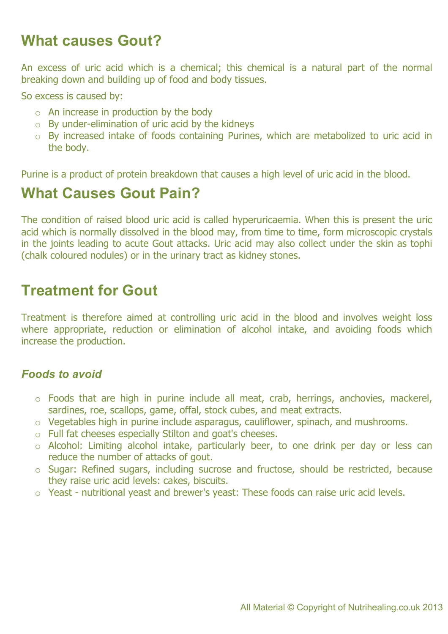## **What causes Gout?**

An excess of uric acid which is a chemical; this chemical is a natural part of the normal breaking down and building up of food and body tissues.

So excess is caused by:

- o An increase in production by the body
- o By under-elimination of uric acid by the kidneys
- o By increased intake of foods containing Purines, which are metabolized to uric acid in the body.

Purine is a product of protein breakdown that causes a high level of uric acid in the blood.

## **What Causes Gout Pain?**

The condition of raised blood uric acid is called hyperuricaemia. When this is present the uric acid which is normally dissolved in the blood may, from time to time, form microscopic crystals in the joints leading to acute Gout attacks. Uric acid may also collect under the skin as tophi (chalk coloured nodules) or in the urinary tract as kidney stones.

## **Treatment for Gout**

Treatment is therefore aimed at controlling uric acid in the blood and involves weight loss where appropriate, reduction or elimination of alcohol intake, and avoiding foods which increase the production.

#### *Foods to avoid*

- o Foods that are high in purine include all meat, crab, herrings, anchovies, mackerel, sardines, roe, scallops, game, offal, stock cubes, and meat extracts.
- o Vegetables high in purine include asparagus, cauliflower, spinach, and mushrooms.
- o Full fat cheeses especially Stilton and goat's cheeses.
- o Alcohol: Limiting alcohol intake, particularly beer, to one drink per day or less can reduce the number of attacks of gout.
- o Sugar: Refined sugars, including sucrose and fructose, should be restricted, because they raise uric acid levels: cakes, biscuits.
- o Yeast nutritional yeast and brewer's yeast: These foods can raise uric acid levels.